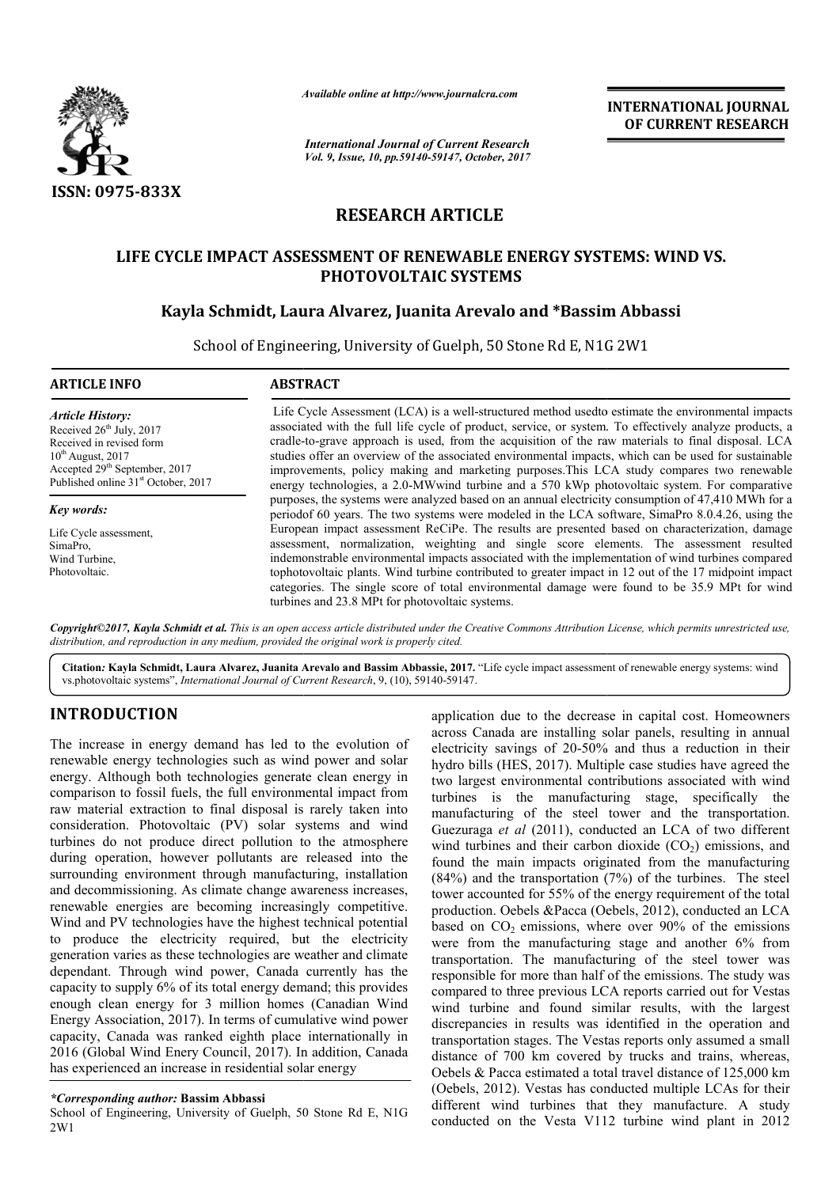

*Available online at http://www.journal http://www.journalcra.com*

*International Journal of Current Research Vol. 9, Issue, 10, pp.59140-59147, October, 2017* **INTERNATIONAL JOURNAL OF CURRENT RESEARCH** 

# **RESEARCH ARTICLE**

# **LIFE CYCLE IMPACT ASSESSMENT OF RENEWABLE ENERGY SYSTEMS: WIND VS.** CYCLE IMPACT ASSESSMENT OF RENEWABLE ENERGY SYSTEMS: WII<br>PHOTOVOLTAIC SYSTEMS<br>Kayla Schmidt, Laura Alvarez, Juanita Arevalo and \*Bassim Abbassi **PHOTOVOLTAIC SYSTEMS**

School of Engineering, University of Guelph, 50 Stone Rd E, N1G 2W1 50 Stone Rd

| <b>ARTICLE INFO</b>                                                                                                                                                                                                   | <b>ABSTRACT</b>                                                                                                                                                                                                                                                                                                                                                                                                                                                                                                                                                                                                         |
|-----------------------------------------------------------------------------------------------------------------------------------------------------------------------------------------------------------------------|-------------------------------------------------------------------------------------------------------------------------------------------------------------------------------------------------------------------------------------------------------------------------------------------------------------------------------------------------------------------------------------------------------------------------------------------------------------------------------------------------------------------------------------------------------------------------------------------------------------------------|
| <b>Article History:</b><br>Received 26 <sup>th</sup> July, 2017<br>Received in revised form<br>$10^{th}$ August, 2017<br>Accepted 29 <sup>th</sup> September, 2017<br>Published online 31 <sup>st</sup> October, 2017 | Life Cycle Assessment (LCA) is a well-structured method used to estimate the environmental impacts<br>associated with the full life cycle of product, service, or system. To effectively analyze products, a<br>cradle-to-grave approach is used, from the acquisition of the raw materials to final disposal. LCA<br>studies offer an overview of the associated environmental impacts, which can be used for sustainable<br>improvements, policy making and marketing purposes. This LCA study compares two renewable<br>energy technologies, a 2.0-MWwind turbine and a 570 kWp photovoltaic system. For comparative |
| Key words:<br>Life Cycle assessment.<br>SimaPro,<br>Wind Turbine.                                                                                                                                                     | purposes, the systems were analyzed based on an annual electricity consumption of 47,410 MWh for a<br>period of 60 years. The two systems were modeled in the LCA software, SimaPro 8.0.4.26, using the<br>European impact assessment ReCiPe. The results are presented based on characterization, damage<br>assessment, normalization, weighting and single score elements. The assessment resulted<br>indemonstrable environmental impacts associated with the implementation of wind turbines compared                                                                                                               |
| Photovoltaic.                                                                                                                                                                                                         | tophotovoltaic plants. Wind turbine contributed to greater impact in 12 out of the 17 midpoint impact<br>categories. The single score of total environmental damage were found to be 35.9 MPt for wind<br>turbines and 23.8 MPt for photovoltaic systems.                                                                                                                                                                                                                                                                                                                                                               |

*Copyright©2017, Kayla Schmidt et al. This is an open access article distributed under the Creative Commons Att Attribution License, which ribution permits unrestricted use, distribution, and reproduction in any medium, provided the original work is properly cited.*

Citation: Kayla Schmidt, Laura Alvarez, Juanita Arevalo and Bassim Abbassie, 2017. "Life cycle impact assessment of renewable energy systems: wind vs.photovoltaic systems", *International Journal of Current Research* , 9, (10), 59140-59147.

# **INTRODUCTION**

The increase in energy demand has led to the evolution of renewable energy technologies such as wind power and solar energy. Although both technologies generate clean energy in comparison to fossil fuels, the full environmental impact from raw material extraction to final disposal is rarely taken into consideration. Photovoltaic (PV) solar systems and wind turbines do not produce direct pollution to the atmosphere during operation, however pollutants are released into the surrounding environment through manufacturing, installation and decommissioning. As climate change awareness increases, renewable energies are becoming increasingly competitive. Wind and PV technologies have the highest technical potential to produce the electricity required, but the electricity generation varies as these technologies are weather and climate dependant. Through wind power, Canada currently has the capacity to supply 6% of its total energy demand; thi enough clean energy for 3 million homes (Canadian Wind Energy Association, 2017). In terms of cumulative wind power capacity, Canada was ranked eighth place internationally in 2016 (Global Wind Enery Council, 2017). In addition, has experienced an increase in residential solar energy raction to final disposal is rarely taken into<br>hotovoltaic (PV) solar systems and wind<br>produce direct pollution to the atmosphere<br>l, however pollutants are released into the<br>irronment through manufacturing, installation<br>ni In terms of cumulative wind power<br>ked eighth place internationally in<br>Council, 2017). In addition, Canada **DUCTION**<br>
application due to the decrease in capital cost.<br>
acces in energy demand has led to the evolution of<br>
electricity savings of 20-50% and thus a reduced<br>
electricity savings of 20-50% and thus a reduced by<br>
electr

## *\*Corresponding author:* **Bassim Abbassi**

School of Engineering, University of Guelph, 50 Stone Rd E, N1G 2W1

across Canada are installing solar panels, resulting in annual electricity savings of 20-50% and thus a reduction in their hydro bills (HES, 2017). Multiple case studies have agreed the two largest environmental contributions associated with wind electricity savings of 20-50% and thus a reduction in their hydro bills (HES, 2017). Multiple case studies have agreed the two largest environmental contributions associated with wind turbines is the manufacturing stage, s manufacturing of the steel tower and the transportation. Guezuraga *et al* (2011), conducted an LCA of two different wind turbines and their carbon dioxide  $(CO<sub>2</sub>)$  emissions, and found the main impacts originated from the manufacturing (84%) and the transportation (7%) of the turbines. The steel tower accounted for 55% of the energy requirement of the total found the main impacts originated from the manufacturing (84%) and the transportation (7%) of the turbines. The steel tower accounted for 55% of the energy requirement of the total production. Oebels &Pacca (Oebels, 2012), based on  $CO<sub>2</sub>$  emissions, where over  $90\%$  of the emissions based on  $CO_2$  emissions, where over 90% of the emissions were from the manufacturing stage and another 6% from transportation. The manufacturing of the steel tower was responsible for more than half of the emissions. The study was compared to three previous LCA reports carried out for Vestas transportation. The manufacturing of the steel tower was responsible for more than half of the emissions. The study was compared to three previous LCA reports carried out for Vestas wind turbine and found similar results, discrepancies in results was identified in the operation and transportation stages. The Vestas reports only assumed a small distance of 700 km covered by trucks and trains, whereas, Oebels & Pacca estimated a total travel distance of 125,000 km (Oebels, 2012). Vestas has conducted multiple LCAs for their different wind turbines that they manufacture. A study conducted on the Vesta V112 turbine wind plant in 2012 application due to the decrease in capital cost. Homeowners manufacturing of the steel tower and the transportation.<br>Guezuraga *et al* (2011), conducted an LCA of two different wind turbines and their carbon dioxide (CO<sub>2</sub>) emissions, and **INTEENATIONAL JOURNAL (Research of CURRENT RESEARCH CROSURE CONDUCT CONDUCT CONDUCT (FREE CONDUCT) CLEE BLE ENERGY SYSTEMS: WIND VS.<br>
FITEMS evaluation and \*Bassim Abbassi and and \*Bassim Abbassi and a \*Bassim Abbassi an**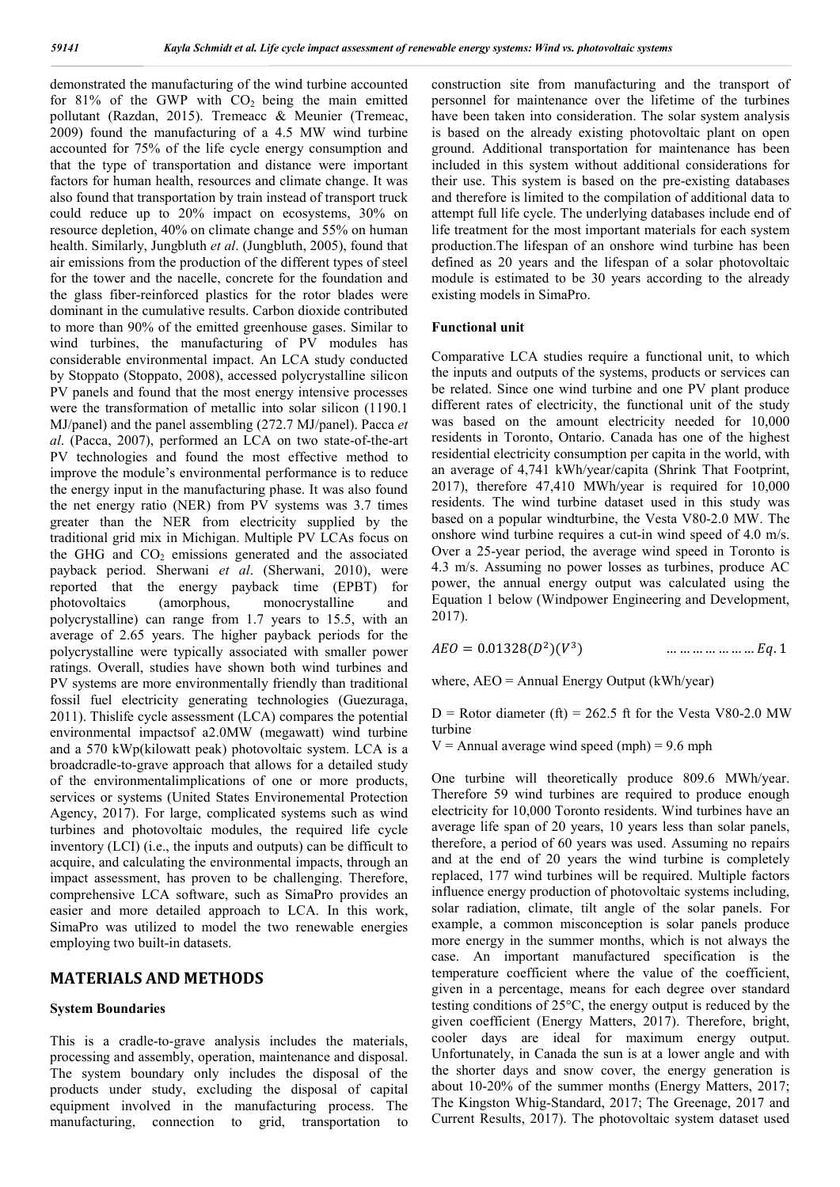demonstrated the manufacturing of the wind turbine accounted for 81% of the GWP with  $CO<sub>2</sub>$  being the main emitted pollutant (Razdan, 2015). Tremeacc  $\&$  Meunier (Tremeac, 2009) found the manufacturing of a 4.5 MW wind turbine accounted for 75% of the life cycle energy consumption and that the type of transportation and distance were important factors for human health, resources and climate change. It was also found that transportation by train instead of transport truck could reduce up to 20% impact on ecosystems, 30% on resource depletion, 40% on climate change and 55% on human health. Similarly, Jungbluth *et al*. (Jungbluth, 2005), found that air emissions from the production of the different types of steel for the tower and the nacelle, concrete for the foundation and the glass fiber-reinforced plastics for the rotor blades were dominant in the cumulative results. Carbon dioxide contributed to more than 90% of the emitted greenhouse gases. Similar to wind turbines, the manufacturing of PV modules has considerable environmental impact. An LCA study conducted by Stoppato (Stoppato, 2008), accessed polycrystalline silicon PV panels and found that the most energy intensive processes were the transformation of metallic into solar silicon (1190.1 MJ/panel) and the panel assembling (272.7 MJ/panel). Pacca *et al*. (Pacca, 2007), performed an LCA on two state-of-the-art PV technologies and found the most effective method to improve the module's environmental performance is to reduce the energy input in the manufacturing phase. It was also found the net energy ratio (NER) from PV systems was 3.7 times greater than the NER from electricity supplied by the traditional grid mix in Michigan. Multiple PV LCAs focus on the GHG and  $CO<sub>2</sub>$  emissions generated and the associated payback period. Sherwani *et al*. (Sherwani, 2010), were reported that the energy payback time (EPBT) for photovoltaics (amorphous, monocrystalline and polycrystalline) can range from 1.7 years to 15.5, with an average of 2.65 years. The higher payback periods for the polycrystalline were typically associated with smaller power ratings. Overall, studies have shown both wind turbines and PV systems are more environmentally friendly than traditional fossil fuel electricity generating technologies (Guezuraga, 2011). Thislife cycle assessment (LCA) compares the potential environmental impactsof a2.0MW (megawatt) wind turbine and a 570 kWp(kilowatt peak) photovoltaic system. LCA is a broadcradle-to-grave approach that allows for a detailed study of the environmentalimplications of one or more products, services or systems (United States Environemental Protection Agency, 2017). For large, complicated systems such as wind turbines and photovoltaic modules, the required life cycle inventory (LCI) (i.e., the inputs and outputs) can be difficult to acquire, and calculating the environmental impacts, through an impact assessment, has proven to be challenging. Therefore, comprehensive LCA software, such as SimaPro provides an easier and more detailed approach to LCA. In this work, SimaPro was utilized to model the two renewable energies employing two built-in datasets.

# **MATERIALS AND METHODS**

## **System Boundaries**

This is a cradle-to-grave analysis includes the materials, processing and assembly, operation, maintenance and disposal. The system boundary only includes the disposal of the products under study, excluding the disposal of capital equipment involved in the manufacturing process. The manufacturing, connection to grid, transportation to construction site from manufacturing and the transport of personnel for maintenance over the lifetime of the turbines have been taken into consideration. The solar system analysis is based on the already existing photovoltaic plant on open ground. Additional transportation for maintenance has been included in this system without additional considerations for their use. This system is based on the pre-existing databases and therefore is limited to the compilation of additional data to attempt full life cycle. The underlying databases include end of life treatment for the most important materials for each system production.The lifespan of an onshore wind turbine has been defined as 20 years and the lifespan of a solar photovoltaic module is estimated to be 30 years according to the already existing models in SimaPro.

#### **Functional unit**

Comparative LCA studies require a functional unit, to which the inputs and outputs of the systems, products or services can be related. Since one wind turbine and one PV plant produce different rates of electricity, the functional unit of the study was based on the amount electricity needed for 10,000 residents in Toronto, Ontario. Canada has one of the highest residential electricity consumption per capita in the world, with an average of 4,741 kWh/year/capita (Shrink That Footprint, 2017), therefore 47,410 MWh/year is required for 10,000 residents. The wind turbine dataset used in this study was based on a popular windturbine, the Vesta V80-2.0 MW. The onshore wind turbine requires a cut-in wind speed of 4.0 m/s. Over a 25-year period, the average wind speed in Toronto is 4.3 m/s. Assuming no power losses as turbines, produce AC power, the annual energy output was calculated using the Equation 1 below (Windpower Engineering and Development, 2017).

 $AEO = 0.01328(D^2)(V^3)$  … … … … … … …  $Eq. 1$ 

where, AEO = Annual Energy Output (kWh/year)

 $D =$  Rotor diameter (ft) = 262.5 ft for the Vesta V80-2.0 MW turbine

 $V =$  Annual average wind speed (mph) = 9.6 mph

One turbine will theoretically produce 809.6 MWh/year. Therefore 59 wind turbines are required to produce enough electricity for 10,000 Toronto residents. Wind turbines have an average life span of 20 years, 10 years less than solar panels, therefore, a period of 60 years was used. Assuming no repairs and at the end of 20 years the wind turbine is completely replaced, 177 wind turbines will be required. Multiple factors influence energy production of photovoltaic systems including, solar radiation, climate, tilt angle of the solar panels. For example, a common misconception is solar panels produce more energy in the summer months, which is not always the case. An important manufactured specification is the temperature coefficient where the value of the coefficient, given in a percentage, means for each degree over standard testing conditions of 25°C, the energy output is reduced by the given coefficient (Energy Matters, 2017). Therefore, bright, cooler days are ideal for maximum energy output. Unfortunately, in Canada the sun is at a lower angle and with the shorter days and snow cover, the energy generation is about 10-20% of the summer months (Energy Matters, 2017; The Kingston Whig-Standard, 2017; The Greenage, 2017 and Current Results, 2017). The photovoltaic system dataset used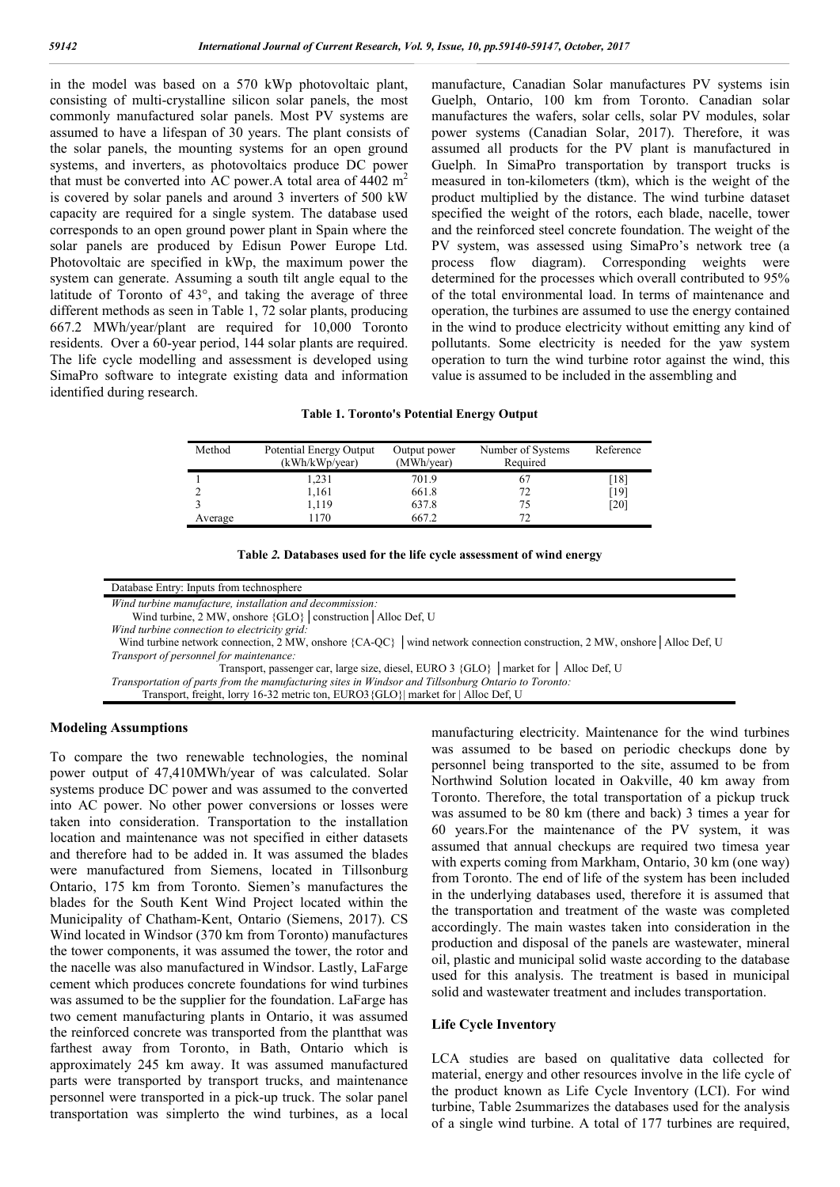in the model was based on a 570 kWp photovoltaic plant, consisting of multi-crystalline silicon solar panels, the most commonly manufactured solar panels. Most PV systems are assumed to have a lifespan of 30 years. The plant consists of the solar panels, the mounting systems for an open ground systems, and inverters, as photovoltaics produce DC power that must be converted into AC power. A total area of  $4402 \text{ m}^2$ is covered by solar panels and around 3 inverters of 500 kW capacity are required for a single system. The database used corresponds to an open ground power plant in Spain where the solar panels are produced by Edisun Power Europe Ltd. Photovoltaic are specified in kWp, the maximum power the system can generate. Assuming a south tilt angle equal to the latitude of Toronto of 43°, and taking the average of three different methods as seen in Table 1, 72 solar plants, producing 667.2 MWh/year/plant are required for 10,000 Toronto residents. Over a 60-year period, 144 solar plants are required. The life cycle modelling and assessment is developed using SimaPro software to integrate existing data and information identified during research.

manufacture, Canadian Solar manufactures PV systems isin Guelph, Ontario, 100 km from Toronto. Canadian solar manufactures the wafers, solar cells, solar PV modules, solar power systems (Canadian Solar, 2017). Therefore, it was assumed all products for the PV plant is manufactured in Guelph. In SimaPro transportation by transport trucks is measured in ton-kilometers (tkm), which is the weight of the product multiplied by the distance. The wind turbine dataset specified the weight of the rotors, each blade, nacelle, tower and the reinforced steel concrete foundation. The weight of the PV system, was assessed using SimaPro's network tree (a process flow diagram). Corresponding weights were determined for the processes which overall contributed to 95% of the total environmental load. In terms of maintenance and operation, the turbines are assumed to use the energy contained in the wind to produce electricity without emitting any kind of pollutants. Some electricity is needed for the yaw system operation to turn the wind turbine rotor against the wind, this value is assumed to be included in the assembling and

**Table 1. Toronto's Potential Energy Output**

| Method  | Potential Energy Output<br>(kWh/kWp/year) | Output power<br>(MWh/year) | Number of Systems<br>Required | Reference          |
|---------|-------------------------------------------|----------------------------|-------------------------------|--------------------|
|         | 1,231                                     | 701.9                      | 67                            | [18]               |
|         | 1,161                                     | 661.8                      | 72                            | [19]               |
|         | 1.119                                     | 637.8                      | 75                            | $\lceil 20 \rceil$ |
| Average | 1170                                      | 667.2                      | 72                            |                    |

|  |  | Table 2. Databases used for the life cycle assessment of wind energy |  |
|--|--|----------------------------------------------------------------------|--|
|  |  |                                                                      |  |

Database Entry: Inputs from technosphere

*Wind turbine manufacture, installation and decommission:*

Wind turbine, 2 MW, onshore {GLO}│construction│Alloc Def, U

*Wind turbine connection to electricity grid:*

Wind turbine network connection, 2 MW, onshore {CA-QC} │wind network connection construction, 2 MW, onshore│Alloc Def, U *Transport of personnel for maintenance:*

Transport, passenger car, large size, diesel, EURO 3 {GLO} │market for │ Alloc Def, U

*Transportation of parts from the manufacturing sites in Windsor and Tillsonburg Ontario to Toronto:*

Transport, freight, lorry 16-32 metric ton, EURO3{GLO}| market for | Alloc Def, U

# **Modeling Assumptions**

To compare the two renewable technologies, the nominal power output of 47,410MWh/year of was calculated. Solar systems produce DC power and was assumed to the converted into AC power. No other power conversions or losses were taken into consideration. Transportation to the installation location and maintenance was not specified in either datasets and therefore had to be added in. It was assumed the blades were manufactured from Siemens, located in Tillsonburg Ontario, 175 km from Toronto. Siemen's manufactures the blades for the South Kent Wind Project located within the Municipality of Chatham-Kent, Ontario (Siemens, 2017). CS Wind located in Windsor (370 km from Toronto) manufactures the tower components, it was assumed the tower, the rotor and the nacelle was also manufactured in Windsor. Lastly, LaFarge cement which produces concrete foundations for wind turbines was assumed to be the supplier for the foundation. LaFarge has two cement manufacturing plants in Ontario, it was assumed the reinforced concrete was transported from the plantthat was farthest away from Toronto, in Bath, Ontario which is approximately 245 km away. It was assumed manufactured parts were transported by transport trucks, and maintenance personnel were transported in a pick-up truck. The solar panel transportation was simplerto the wind turbines, as a local

manufacturing electricity. Maintenance for the wind turbines was assumed to be based on periodic checkups done by personnel being transported to the site, assumed to be from Northwind Solution located in Oakville, 40 km away from Toronto. Therefore, the total transportation of a pickup truck was assumed to be 80 km (there and back) 3 times a year for 60 years.For the maintenance of the PV system, it was assumed that annual checkups are required two timesa year with experts coming from Markham, Ontario, 30 km (one way) from Toronto. The end of life of the system has been included in the underlying databases used, therefore it is assumed that the transportation and treatment of the waste was completed accordingly. The main wastes taken into consideration in the production and disposal of the panels are wastewater, mineral oil, plastic and municipal solid waste according to the database used for this analysis. The treatment is based in municipal solid and wastewater treatment and includes transportation.

#### **Life Cycle Inventory**

LCA studies are based on qualitative data collected for material, energy and other resources involve in the life cycle of the product known as Life Cycle Inventory (LCI). For wind turbine, Table 2summarizes the databases used for the analysis of a single wind turbine. A total of 177 turbines are required,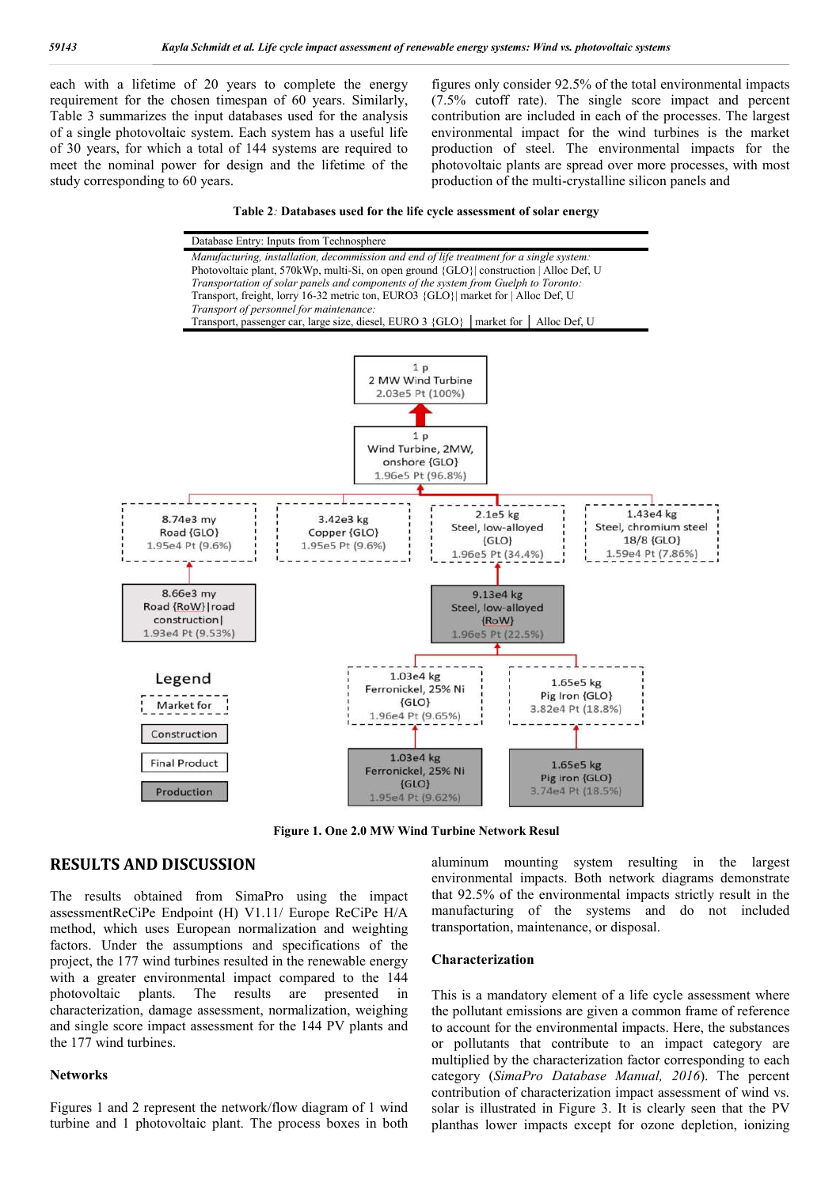each with a lifetime of 20 years to complete the energy requirement for the chosen timespan of 60 years. Similarly, Table 3 summarizes the input databases used for the analysis of a single photovoltaic system. Each system has a useful life of 30 years, for which a total of 144 systems are required to meet the nominal power for design and the lifetime of the study corresponding to 60 years.

figures only consider 92.5% of the total environmental impacts (7.5% cutoff rate). The single score impact and percent contribution are included in each of the processes. The largest environmental impact for the wind turbines is the market production of steel. The environmental impacts for the photovoltaic plants are spread over more processes, with most production of the multi-crystalline silicon panels and





**Figure 1. One 2.0 MW Wind Turbine Network Resul**

# **RESULTS AND DISCUSSION**

The results obtained from SimaPro using the impact assessmentReCiPe Endpoint (H) V1.11/ Europe ReCiPe H/A method, which uses European normalization and weighting factors. Under the assumptions and specifications of the project, the 177 wind turbines resulted in the renewable energy with a greater environmental impact compared to the 144 photovoltaic plants. The results are presented in characterization, damage assessment, normalization, weighing and single score impact assessment for the 144 PV plants and the 177 wind turbines.

#### **Networks**

Figures 1 and 2 represent the network/flow diagram of 1 wind turbine and 1 photovoltaic plant. The process boxes in both aluminum mounting system resulting in the largest environmental impacts. Both network diagrams demonstrate that 92.5% of the environmental impacts strictly result in the manufacturing of the systems and do not included transportation, maintenance, or disposal.

#### **Characterization**

This is a mandatory element of a life cycle assessment where the pollutant emissions are given a common frame of reference to account for the environmental impacts. Here, the substances or pollutants that contribute to an impact category are multiplied by the characterization factor corresponding to each category (*SimaPro Database Manual, 2016*). The percent contribution of characterization impact assessment of wind vs. solar is illustrated in Figure 3. It is clearly seen that the PV planthas lower impacts except for ozone depletion, ionizing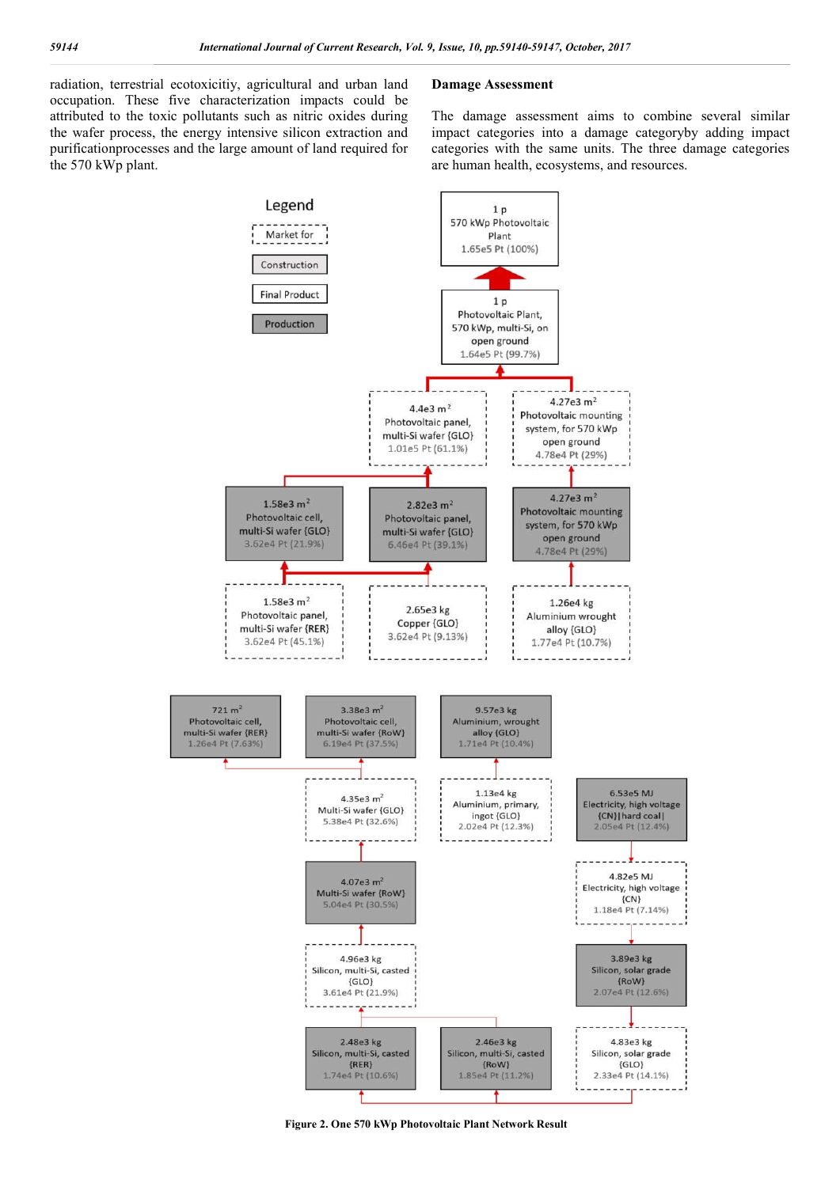radiation, terrestrial ecotoxicitiy, agricultural and urban land occupation. These five characterization impacts could be attributed to the toxic pollutants such as nitric oxides during the wafer process, the energy intensive silicon extraction and purificationprocesses and the large amount of land required for the 570 kWp plant.

# **Damage Assessment**

The damage assessment aims to combine several similar impact categories into a damage categoryby adding impact categories with the same units. The three damage categories are human health, ecosystems, and resources.



**Figure 2. One 570 kWp Photovoltaic Plant Network Result**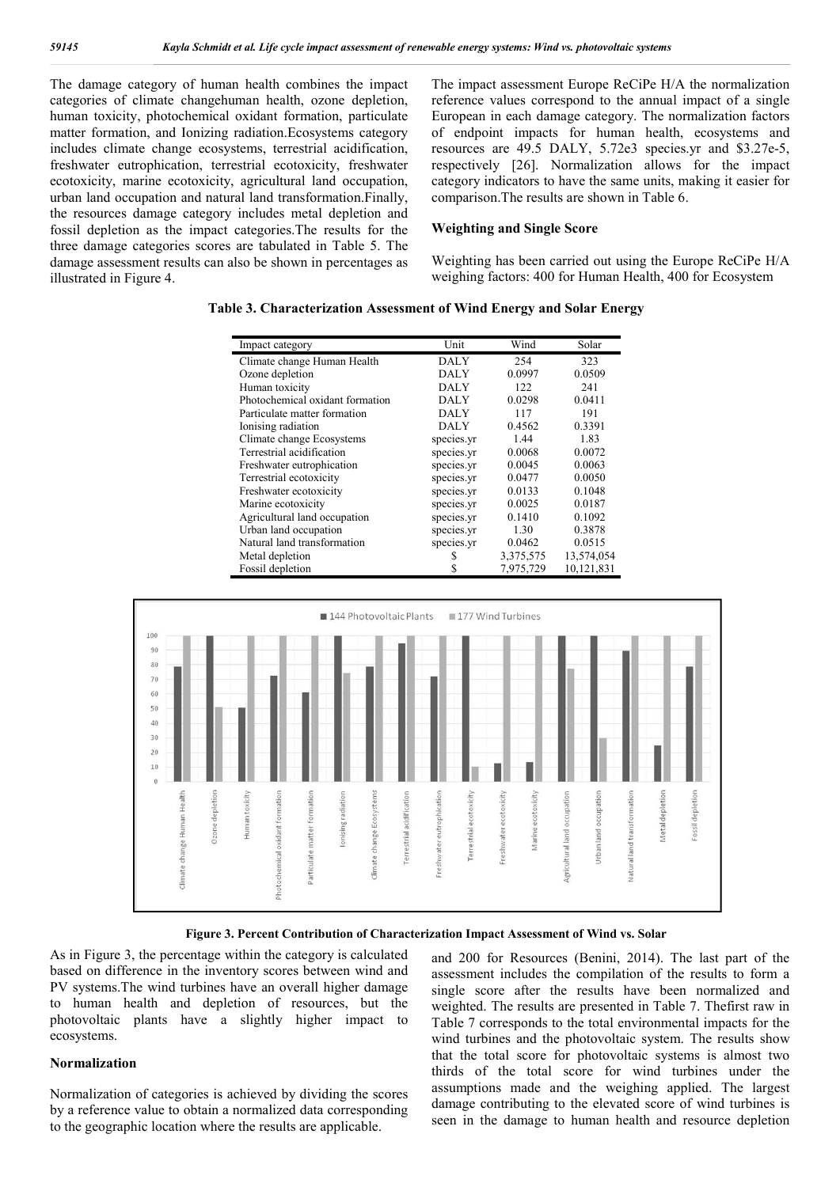The damage category of human health combines the impact categories of climate changehuman health, ozone depletion, human toxicity, photochemical oxidant formation, particulate matter formation, and Ionizing radiation.Ecosystems category includes climate change ecosystems, terrestrial acidification, freshwater eutrophication, terrestrial ecotoxicity, freshwater ecotoxicity, marine ecotoxicity, agricultural land occupation, urban land occupation and natural land transformation.Finally, the resources damage category includes metal depletion and fossil depletion as the impact categories.The results for the three damage categories scores are tabulated in Table 5. The damage assessment results can also be shown in percentages as illustrated in Figure 4.

The impact assessment Europe ReCiPe H/A the normalization reference values correspond to the annual impact of a single European in each damage category. The normalization factors of endpoint impacts for human health, ecosystems and resources are 49.5 DALY, 5.72e3 species.yr and \$3.27e-5, respectively [26]. Normalization allows for the impact category indicators to have the same units, making it easier for comparison.The results are shown in Table 6.

#### **Weighting and Single Score**

Weighting has been carried out using the Europe ReCiPe H/A weighing factors: 400 for Human Health, 400 for Ecosystem

### **Table 3. Characterization Assessment of Wind Energy and Solar Energy**

| Impact category                 | Unit        | Wind      | Solar      |
|---------------------------------|-------------|-----------|------------|
| Climate change Human Health     | DALY        | 254       | 323        |
| Ozone depletion                 | <b>DALY</b> | 0.0997    | 0.0509     |
| Human toxicity                  | DALY        | 122       | 241        |
| Photochemical oxidant formation | DALY        | 0.0298    | 0.0411     |
| Particulate matter formation    | DALY        | 117       | 191        |
| Ionising radiation              | DALY        | 0.4562    | 0.3391     |
| Climate change Ecosystems       | species.yr  | 1.44      | 1.83       |
| Terrestrial acidification       | species.yr  | 0.0068    | 0.0072     |
| Freshwater eutrophication       | species.yr  | 0.0045    | 0.0063     |
| Terrestrial ecotoxicity         | species.yr  | 0.0477    | 0.0050     |
| Freshwater ecotoxicity          | species.yr  | 0.0133    | 0.1048     |
| Marine ecotoxicity              | species.yr  | 0.0025    | 0.0187     |
| Agricultural land occupation    | species.yr  | 0.1410    | 0.1092     |
| Urban land occupation           | species.yr  | 1.30      | 0.3878     |
| Natural land transformation     | species.yr  | 0.0462    | 0.0515     |
| Metal depletion                 | \$          | 3,375,575 | 13,574,054 |
| Fossil depletion                | \$          | 7,975,729 | 10,121,831 |



**Figure 3. Percent Contribution of Characterization Impact Assessment of Wind vs. Solar**

As in Figure 3, the percentage within the category is calculated based on difference in the inventory scores between wind and PV systems.The wind turbines have an overall higher damage to human health and depletion of resources, but the photovoltaic plants have a slightly higher impact to ecosystems.

#### **Normalization**

Normalization of categories is achieved by dividing the scores by a reference value to obtain a normalized data corresponding to the geographic location where the results are applicable.

and 200 for Resources (Benini, 2014). The last part of the assessment includes the compilation of the results to form a single score after the results have been normalized and weighted. The results are presented in Table 7. Thefirst raw in Table 7 corresponds to the total environmental impacts for the wind turbines and the photovoltaic system. The results show that the total score for photovoltaic systems is almost two thirds of the total score for wind turbines under the assumptions made and the weighing applied. The largest damage contributing to the elevated score of wind turbines is seen in the damage to human health and resource depletion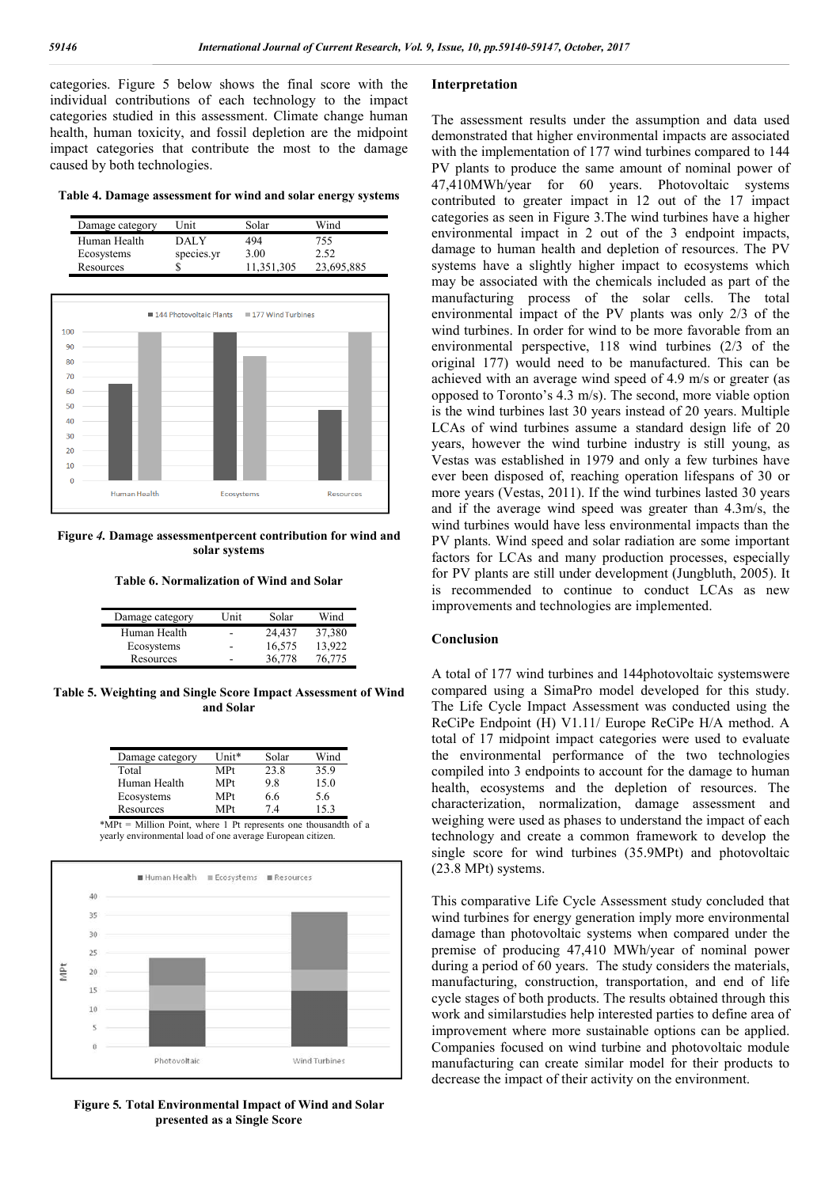categories. Figure 5 below shows the final score with the individual contributions of each technology to the impact categories studied in this assessment. Climate change human health, human toxicity, and fossil depletion are the midpoint impact categories that contribute the most to the damage caused by both technologies.

**Table 4. Damage assessment for wind and solar energy systems**

| Damage category | Unit       | Solar      | Wind       |
|-----------------|------------|------------|------------|
| Human Health    | DAL Y      | 494        | 755        |
| Ecosystems      | species.yr | 3.00       | 2.52       |
| Resources       |            | 11,351,305 | 23,695,885 |



**Figure** *4.* **Damage assessmentpercent contribution for wind and solar systems**

**Table 6. Normalization of Wind and Solar**

| Damage category | Unit | Solar  | Wind   |
|-----------------|------|--------|--------|
| Human Health    | -    | 24.437 | 37,380 |
| Ecosystems      | -    | 16,575 | 13.922 |
| Resources       | -    | 36.778 | 76.775 |

**Table 5. Weighting and Single Score Impact Assessment of Wind and Solar**

| Damage category | I Init* | Solar | Wind |
|-----------------|---------|-------|------|
| Total           | MPt     | 23.8  | 35.9 |
| Human Health    | MPt     | 98    | 15.0 |
| Ecosystems      | MPt     | 6.6   | 5.6  |
| Resources       | MPt     | 74    | 153  |

\*MPt = Million Point, where 1 Pt represents one thousandth of a yearly environmental load of one average European citizen.



**Figure 5***.* **Total Environmental Impact of Wind and Solar presented as a Single Score**

# **Interpretation**

The assessment results under the assumption and data used demonstrated that higher environmental impacts are associated with the implementation of 177 wind turbines compared to 144 PV plants to produce the same amount of nominal power of 47,410MWh/year for 60 years. Photovoltaic systems contributed to greater impact in 12 out of the 17 impact categories as seen in Figure 3.The wind turbines have a higher environmental impact in 2 out of the 3 endpoint impacts, damage to human health and depletion of resources. The PV systems have a slightly higher impact to ecosystems which may be associated with the chemicals included as part of the manufacturing process of the solar cells. The total environmental impact of the PV plants was only 2/3 of the wind turbines. In order for wind to be more favorable from an environmental perspective, 118 wind turbines (2/3 of the original 177) would need to be manufactured. This can be achieved with an average wind speed of 4.9 m/s or greater (as opposed to Toronto's 4.3 m/s). The second, more viable option is the wind turbines last 30 years instead of 20 years. Multiple LCAs of wind turbines assume a standard design life of 20 years, however the wind turbine industry is still young, as Vestas was established in 1979 and only a few turbines have ever been disposed of, reaching operation lifespans of 30 or more years (Vestas, 2011). If the wind turbines lasted 30 years and if the average wind speed was greater than 4.3m/s, the wind turbines would have less environmental impacts than the PV plants. Wind speed and solar radiation are some important factors for LCAs and many production processes, especially for PV plants are still under development (Jungbluth, 2005). It is recommended to continue to conduct LCAs as new improvements and technologies are implemented.

# **Conclusion**

A total of 177 wind turbines and 144photovoltaic systemswere compared using a SimaPro model developed for this study. The Life Cycle Impact Assessment was conducted using the ReCiPe Endpoint (H) V1.11/ Europe ReCiPe H/A method. A total of 17 midpoint impact categories were used to evaluate the environmental performance of the two technologies compiled into 3 endpoints to account for the damage to human health, ecosystems and the depletion of resources. The characterization, normalization, damage assessment and weighing were used as phases to understand the impact of each technology and create a common framework to develop the single score for wind turbines (35.9MPt) and photovoltaic (23.8 MPt) systems.

This comparative Life Cycle Assessment study concluded that wind turbines for energy generation imply more environmental damage than photovoltaic systems when compared under the premise of producing 47,410 MWh/year of nominal power during a period of 60 years. The study considers the materials, manufacturing, construction, transportation, and end of life cycle stages of both products. The results obtained through this work and similarstudies help interested parties to define area of improvement where more sustainable options can be applied. Companies focused on wind turbine and photovoltaic module manufacturing can create similar model for their products to decrease the impact of their activity on the environment.